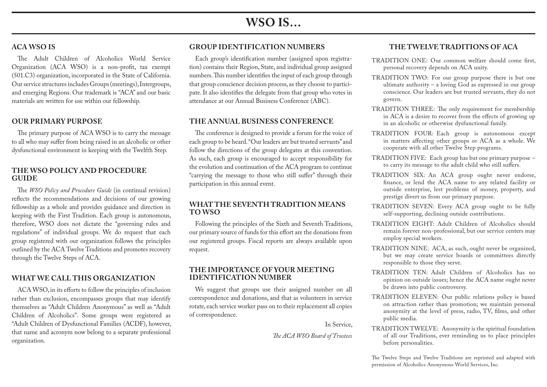# **WSO IS…**

# **ACA WSO IS**

The Adult Children of Alcoholics World Service Organization (ACA WSO) is a non-profit, tax exempt (501.C3) organization, incorporated in the State of California. Our service structures includes Groups (meetings), Intergroups, and emerging Regions. Our trademark is "ACA" and our basic materials are written for use within our fellowship.

#### **OUR PRIMARY PURPOSE**

The primary purpose of ACA WSO is to carry the message to all who may suffer from being raised in an alcoholic or other dysfunctional environment in keeping with the Twelfth Step.

#### **THE WSO POLICY AND PROCEDURE GUIDE**

The *WSO Policy and Procedure Guide* (in continual revision) reflects the recommendations and decisions of our growing fellowship as a whole and provides guidance and direction in keeping with the First Tradition. Each group is autonomous, therefore, WSO does not dictate the "governing rules and regulations" of individual groups. We do request that each group registered with our organization follows the principles outlined by the ACA Twelve Traditions and promotes recovery through the Twelve Steps of ACA.

#### **WHAT WE CALL THIS ORGANIZATION**

ACA WSO, in its efforts to follow the principles of inclusion rather than exclusion, encompasses groups that may identify themselves as "Adult Children Anonymous" as well as "Adult Children of Alcoholics". Some groups were registered as "Adult Children of Dysfunctional Families (ACDF), however, that name and acronym now belong to a separate professional organization.

### **GROUP IDENTIFICATION NUMBERS**

Each group's identification number (assigned upon registration) contains their Region, State, and individual group assigned numbers. This number identifies the input of each group through that group conscience decision process, as they choose to participate. It also identifies the delegate from that group who votes in attendance at our Annual Business Conference (ABC).

# **THE ANNUAL BUSINESS CONFERENCE**

The conference is designed to provide a forum for the voice of each group to be heard. "Our leaders are but trusted servants" and follow the directions of the group delegates at this convention. As such, each group is encouraged to accept responsibility for the evolution and continuation of the ACA program to continue "carrying the message to those who still suffer" through their participation in this annual event.

#### **WHAT THE SEVENTH TRADITION MEANS TO WSO**

Following the principles of the Sixth and Seventh Traditions, our primary source of funds for this effort are the donations from our registered groups. Fiscal reports are always available upon request.

#### **THE IMPORTANCE OF YOUR MEETING IDENTIFICATION NUMBER**

We suggest that groups use their assigned number on all correspondence and donations, and that as volunteers in service rotate, each service worker pass on to their replacement all copies of correspondence.

In Service,

*The ACA WSO Board of Trustees*

## **THE TWELVE TRADITIONS OF ACA**

- TRADITION ONE: Our common welfare should come first, personal recovery depends on ACA unity.
- TRADITION TWO: For our group purpose there is but one ultimate authority – a loving God as expressed in our group conscience. Our leaders are but trusted servants, they do not govern.
- TRADITION THREE: The only requirement for membership in ACA is a desire to recover from the effects of growing up in an alcoholic or otherwise dysfunctional family.
- TRADITION FOUR: Each group is autonomous except in matters affecting other groups or ACA as a whole. We cooperate with all other Twelve Step programs.
- TRADITION FIVE: Each group has but one primary purpose to carry its message to the adult child who still suffers.
- TRADITION SIX: An ACA group ought never endorse, finance, or lend the ACA name to any related facility or outside enterprise, lest problems of money, property, and prestige divert us from our primary purpose.
- TRADITION SEVEN: Every ACA group ought to be fully self-supporting, declining outside contributions.
- TRADITION EIGHT: Adult Children of Alcoholics should remain forever non-professional, but our service centers may employ special workers.
- TRADITION NINE: ACA, as such, ought never be organized, but we may create service boards or committees directly responsible to those they serve.
- TRADITION TEN: Adult Children of Alcoholics has no opinion on outside issues; hence the ACA name ought never be drawn into public controversy.
- TRADITION ELEVEN: Our public relations policy is based on attraction rather than promotion; we maintain personal anonymity at the level of press, radio, TV, films, and other public media.
- TRADITION TWELVE: Anonymity is the spiritual foundation of all our Traditions, ever reminding us to place principles before personalities.

The Twelve Steps and Twelve Traditions are reprinted and adapted with permission of Alcoholics Anonymous World Services, Inc.